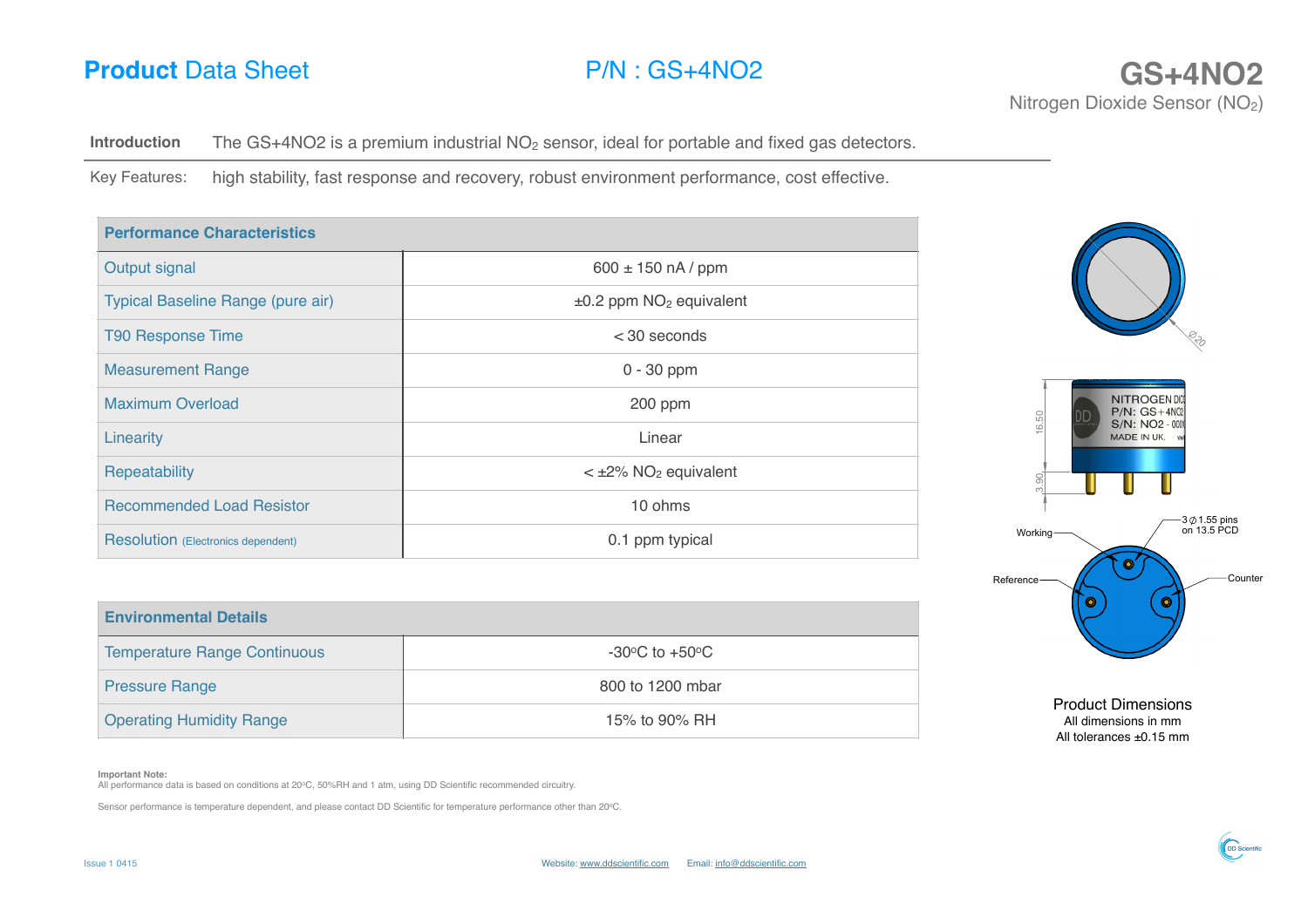## **Product** Data Sheet P/N : GS+4NO2 **GS+4NO2 GS+4NO2**

**Introduction** The GS+4NO2 is a premium industrial NO<sub>2</sub> sensor, ideal for portable and fixed gas detectors.

Key Features: high stability, fast response and recovery, robust environment performance, cost effective.

| <b>Performance Characteristics</b>        |                                          |  |  |
|-------------------------------------------|------------------------------------------|--|--|
| Output signal                             | $600 \pm 150$ nA / ppm                   |  |  |
| Typical Baseline Range (pure air)         | $\pm 0.2$ ppm NO <sub>2</sub> equivalent |  |  |
| <b>T90 Response Time</b>                  | $<$ 30 seconds                           |  |  |
| <b>Measurement Range</b>                  | $0 - 30$ ppm                             |  |  |
| <b>Maximum Overload</b>                   | 200 ppm                                  |  |  |
| Linearity                                 | Linear                                   |  |  |
| Repeatability                             | $\leq$ ±2% NO <sub>2</sub> equivalent    |  |  |
| <b>Recommended Load Resistor</b>          | 10 ohms                                  |  |  |
| <b>Resolution</b> (Electronics dependent) | 0.1 ppm typical                          |  |  |



Product Dimensions All dimensions in mm All tolerances ±0.15 mm

**Environmental Details** Temperature Range Continuous and all the state of the state of the state of the state of the state of the state of the state of the state of the state of the state of the state of the state of the state of the state of the Pressure Range 800 to 1200 mbar Operating Humidity Range 15% to 90% RH

### **Important Note:**

All performance data is based on conditions at 20°C, 50%RH and 1 atm, using DD Scientific recommended circuitry.

Sensor performance is temperature dependent, and please contact DD Scientific for temperature performance other than 20oC.